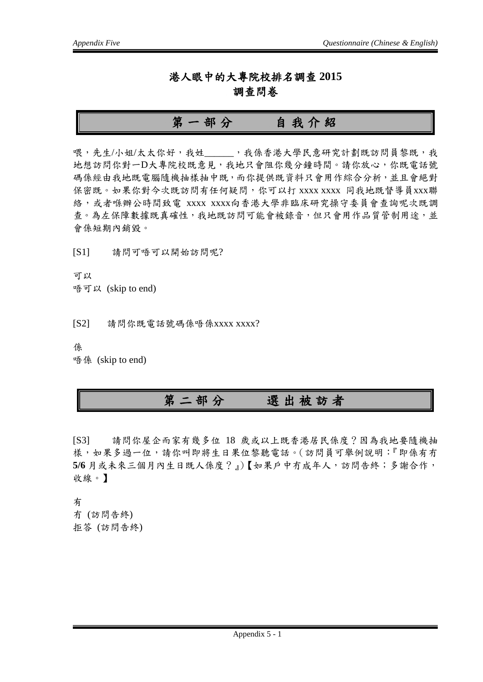#### 港人眼中的大專院校排名調查 **2015** 調查問卷

# 第一部分自我介紹

喂,先生/小姐/太太你好,我姓 ,我係香港大學民意研究計劃既訪問員黎既,我 地想訪問你對一D大專院校既意見,我地只會阻你幾分鐘時間。請你放心,你既電話號 碼係經由我地既電腦隨機抽樣抽中既,而你提供既資料只會用作綜合分析,並且會絕對 保密既。如果你對今次既訪問有任何疑問,你可以打 xxxx xxxx 同我地既督導員xxx聯 絡,或者喺辦公時間致電 xxxx xxxx向香港大學非臨床研究操守委員會查詢呢次既調 查。為左保障數據既真確性,我地既訪問可能會被錄音,但只會用作品質管制用途,並 會係短期內銷毀。

[S1] 請問可唔可以開始訪問呢?

可以 唔可以 (skip to end)

[S2] 請問你既電話號碼係唔係xxxx xxxx?

係

唔係 (skip to end)

## 第二部分選出被訪者

[S3] 請問你屋企而家有幾多位 18 歲或以上既香港居民係度?因為我地要隨機抽 樣,如果多過一位,請你叫即將生日果位黎聽電話。(訪問員可舉例說明:『即係有冇 **5/6** 月或未來三個月內生日既人係度?』)【如果戶中冇成年人,訪問告終;多謝合作, 收線。】

有 冇 (訪問告終) 拒答 (訪問告終)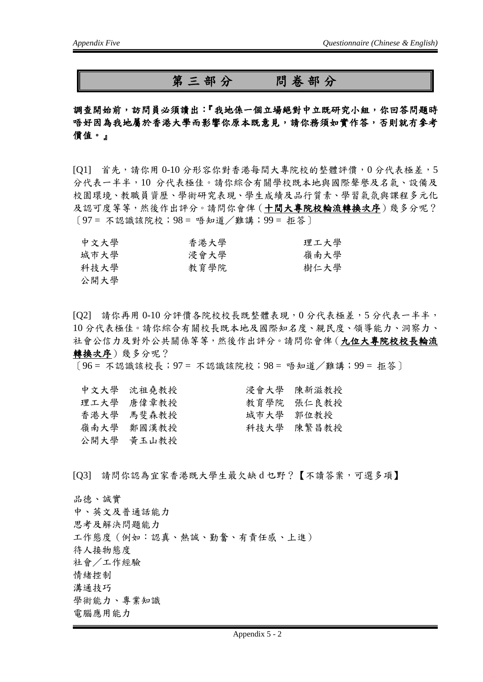### 第三部分問卷部分

調查開始前,訪問員必須讀出:『我地係一個立場絕對中立既研究小組,你回答問題時 唔好因為我地屬於香港大學而影響你原本既意見,請你務須如實作答,否則就冇參考 價值。』

[Q1] 首先,請你用 0-10 分形容你對香港每間大專院校的整體評價,0 分代表極差,5 分代表一半半,10 分代表極佳。請你綜合有關學校既本地與國際聲譽及名氣、設備及 校園環境、教職員資歷、學術研究表現、學生成績及品行質素、學習氣氛與課程多元化 及認可度等等,然後作出評分。請問你會俾(十間大專院校輪流轉換次序)幾多分呢? 〔97 = 不認識該院校;98 = 唔知道/難講;99 = 拒答〕

| 中文大學 | 香港大學 | 理工大學 |
|------|------|------|
| 城市大學 | 浸會大學 | 嶺南大學 |
| 科技大學 | 教育學院 | 樹仁大學 |
| 公開大學 |      |      |

[Q2] 請你再用 0-10 分評價各院校校長既整體表現,0 分代表極差,5 分代表一半半, 10 分代表極佳。請你綜合有關校長既本地及國際知名度、親民度、領導能力、洞察力、 社會公信力及對外公共關係等等,然後作出評分。請問你會俾(九位大專院校校長輪流 轉換次序)幾多分呢?

〔96 = 不認識該校長;97 = 不認識該院校;98 = 唔知道/難講;99 = 拒答〕

| 中文大學 沈祖堯教授 |           | 浸會大學 陳新滋教授 |
|------------|-----------|------------|
| 理工大學 唐偉章教授 |           | 教育學院 張仁良教授 |
| 香港大學 馬斐森教授 | 城市大学 郭位教授 |            |
| 嶺南大學 鄭國漢教授 |           | 科技大學 陳繁昌教授 |
| 公開大學 黄玉山教授 |           |            |
|            |           |            |

[Q3] 請問你認為宜家香港既大學生最欠缺 d 乜野?【不讀答案,可選多項】

品德、誠實

中、英文及普通話能力 思考及解決問題能力 工作態度(例如:認真、熱誠、勤奮、有責任感、上進) 待人接物態度 社會/工作經驗 情緒控制 溝通技巧 學術能力、專業知識 電腦應用能力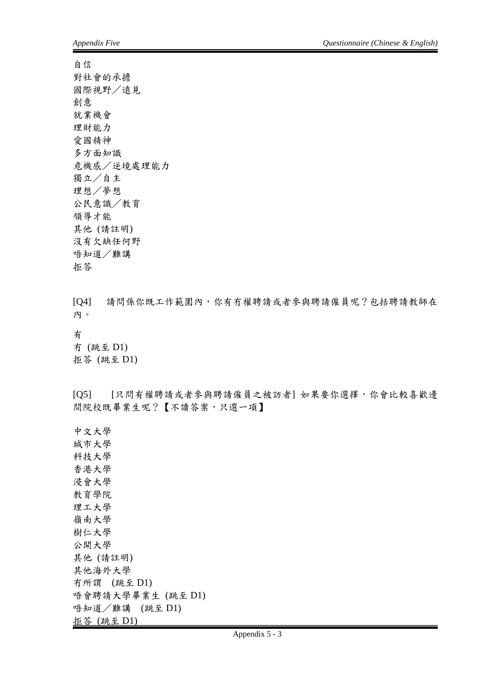自信 對社會的承擔 國際視野/遠見 創意 就業機會 理財能力 愛國精神 多方面知識 危機感/逆境處理能力 獨立/自主 理想/夢想 公民意識/教育 領導才能 其他 (請註明) 沒有欠缺任何野 唔知道/難講 拒答

[Q4] 請問係你既工作範圍內,你有冇權聘請或者參與聘請僱員呢?包括聘請教師在 內。

#### 有

冇 (跳至 D1) 拒答 (跳至 D1)

[Q5] [只問有權聘請或者參與聘請僱員之被訪者] 如果要你選擇,你會比較喜歡邊 間院校既畢業生呢?【不讀答案,只選一項】

中文大學 城市大學 科技大學 香港大學 浸會大學 教育學院 理工大學 嶺南大學 樹仁大學 公開大學 其他 (請註明) 其他海外大學 冇所謂 (跳至 D1) 唔會聘請大學畢業生 (跳至 D1) 唔知道/難講 (跳至 D1) 拒答 (跳至 D1)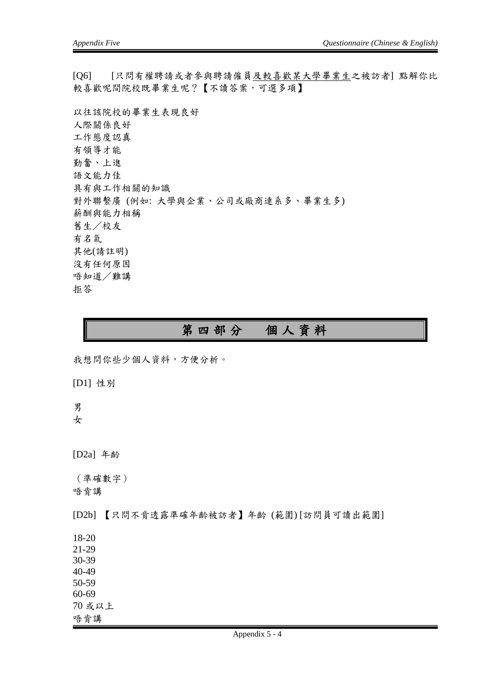[Q6] [只問有權聘請或者參與聘請僱員及較喜歡某大學畢業生之被訪者] 點解你比 較喜歡呢間院校既畢業生呢?【不讀答案,可選多項】

以往該院校的畢業生表現良好 人際關係良好 工作態度認真 有領導才能 勤奮、上進 語文能力佳 具有與工作相關的知識 對外聯繫廣 (例如: 大學與企業、公司或廠商連系多、畢業生多) 薪酬與能力相稱 舊生/校友 有名氣 其他(請註明) 沒有任何原因 唔知道/難講 拒答

## 第四部分個人資料

我想問你些少個人資料,方便分析。

[D1] 性別

男 女

[D2a] 年齡

(準確數字) 唔肯講

[D2b] 【只問不肯透露準確年齡被訪者】年齡 (範圍) [訪問員可讀出範圍]

18-20

21-29

30-39 40-49

50-59 60-69

70 或以上

唔肯講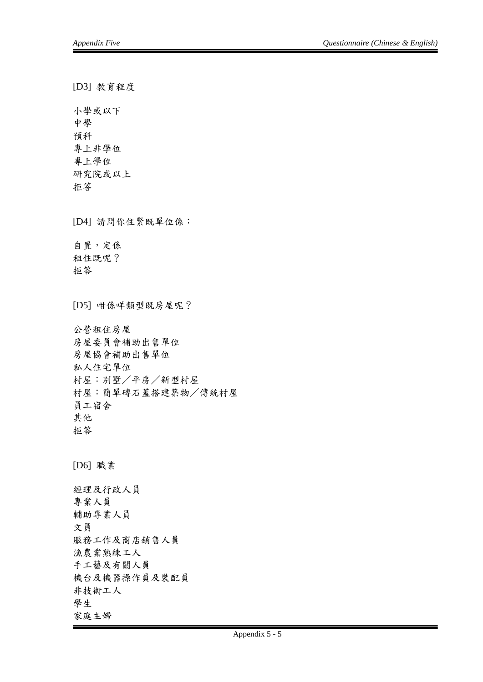[D3] 教育程度 小學或以下 中學 預科 專上非學位 專上學位 研究院或以上 拒答 [D4] 請問你住緊既單位係: 自置,定係 租住既呢? 拒答 [D5] 咁係咩類型既房屋呢? 公營租住房屋 房屋委員會補助出售單位 房屋協會補助出售單位 私人住宅單位 村屋:別墅/平房/新型村屋 村屋:簡單磚石蓋搭建築物/傳統村屋 員工宿舍 其他 拒答 [D6] 職業 經理及行政人員 專業人員 輔助專業人員 文員 服務工作及商店銷售人員 漁農業熟練工人 手工藝及有關人員 機台及機器操作員及裝配員 非技術工人 學生 家庭主婦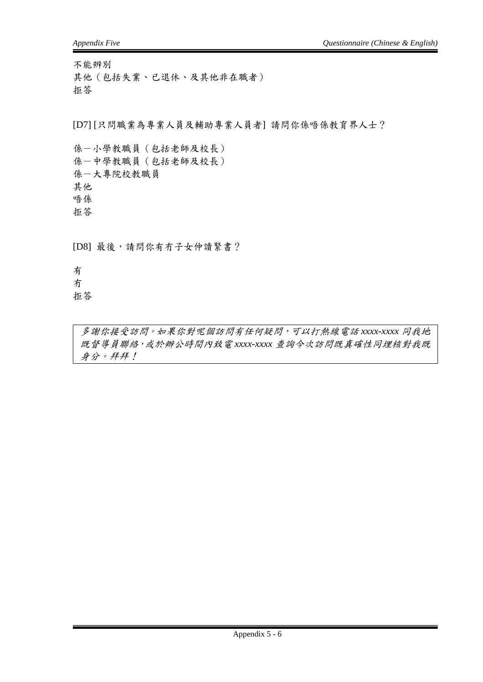不能辨別 其他(包括失業、已退休、及其他非在職者) 拒答

[D7] [只問職業為專業人員及輔助專業人員者] 請問你係唔係教育界人士?

係-小學教職員(包括老師及校長) 係-中學教職員(包括老師及校長) 係-大專院校教職員 其他 唔係 拒答

[D8] 最後,請問你有冇子女仲讀緊書?

有 冇 拒答

> 多謝你接受訪問。如果你對呢個訪問有任何疑問,可以打熱線電話 *xxxx-xxxx* 同我地 既督導員聯絡,或於辦公時間內致電 *xxxx-xxxx* 查詢今次訪問既真確性同埋核對我既 身分。拜拜!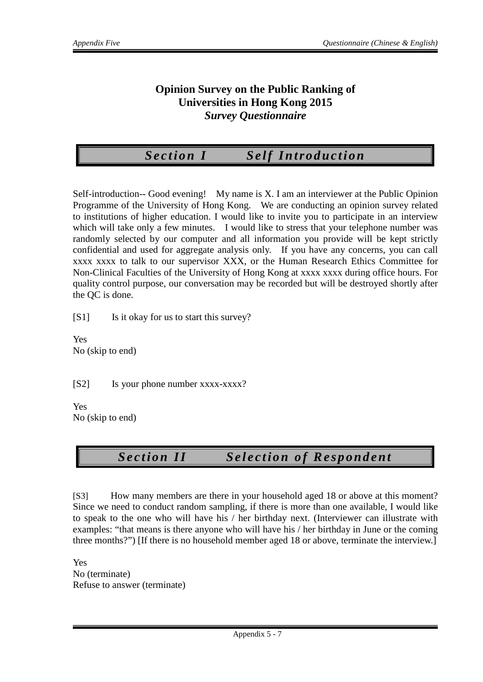#### **Opinion Survey on the Public Ranking of Universities in Hong Kong 2015** *Survey Questionnaire*

*Section I Self Introduction*

Self-introduction-- Good evening! My name is X. I am an interviewer at the Public Opinion Programme of the University of Hong Kong. We are conducting an opinion survey related to institutions of higher education. I would like to invite you to participate in an interview which will take only a few minutes. I would like to stress that your telephone number was randomly selected by our computer and all information you provide will be kept strictly confidential and used for aggregate analysis only. If you have any concerns, you can call xxxx xxxx to talk to our supervisor XXX, or the Human Research Ethics Committee for Non-Clinical Faculties of the University of Hong Kong at xxxx xxxx during office hours. For quality control purpose, our conversation may be recorded but will be destroyed shortly after the QC is done.

[S1] Is it okay for us to start this survey?

Yes No (skip to end)

[S2] Is your phone number xxxx-xxxx?

Yes No (skip to end)

## *Section II Selection of Respondent*

[S3] How many members are there in your household aged 18 or above at this moment? Since we need to conduct random sampling, if there is more than one available, I would like to speak to the one who will have his / her birthday next. (Interviewer can illustrate with examples: "that means is there anyone who will have his / her birthday in June or the coming three months?") [If there is no household member aged 18 or above, terminate the interview.]

Yes No (terminate) Refuse to answer (terminate)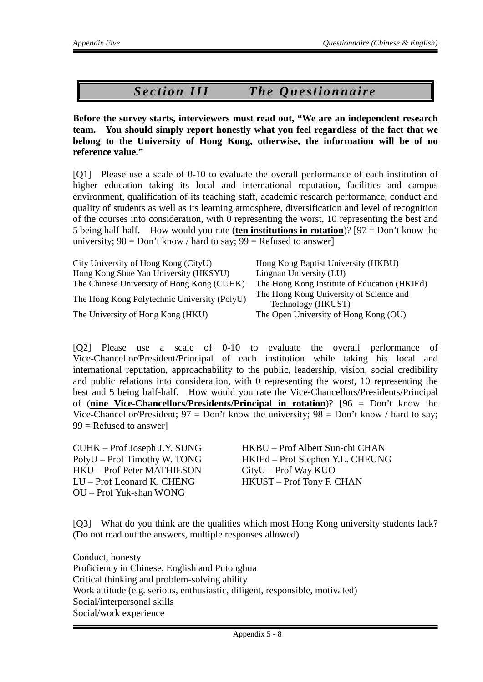# *Section III The Questionnaire*

**Before the survey starts, interviewers must read out, "We are an independent research team. You should simply report honestly what you feel regardless of the fact that we belong to the University of Hong Kong, otherwise, the information will be of no reference value."**

[Q1] Please use a scale of 0-10 to evaluate the overall performance of each institution of higher education taking its local and international reputation, facilities and campus environment, qualification of its teaching staff, academic research performance, conduct and quality of students as well as its learning atmosphere, diversification and level of recognition of the courses into consideration, with 0 representing the worst, 10 representing the best and 5 being half-half. How would you rate (**ten institutions in rotation**)? [97 = Don't know the university;  $98 = Don't know / hard to say; 99 = Refused to answer$ 

| City University of Hong Kong (CityU)         | Hong Kong Baptist University (HKBU)                           |
|----------------------------------------------|---------------------------------------------------------------|
| Hong Kong Shue Yan University (HKSYU)        | Lingnan University (LU)                                       |
| The Chinese University of Hong Kong (CUHK)   | The Hong Kong Institute of Education (HKIEd)                  |
| The Hong Kong Polytechnic University (PolyU) | The Hong Kong University of Science and<br>Technology (HKUST) |
| The University of Hong Kong (HKU)            | The Open University of Hong Kong (OU)                         |

[Q2] Please use a scale of 0-10 to evaluate the overall performance of Vice-Chancellor/President/Principal of each institution while taking his local and international reputation, approachability to the public, leadership, vision, social credibility and public relations into consideration, with 0 representing the worst, 10 representing the best and 5 being half-half. How would you rate the Vice-Chancellors/Presidents/Principal of (**nine Vice-Chancellors/Presidents/Principal in rotation**)? [96 = Don't know the Vice-Chancellor/President;  $97 = Don't know the university; 98 = Don't know / hard to say;$  $99$  = Refused to answer]

HKU – Prof Peter MATHIESON CityU – Prof Way KUO LU – Prof Leonard K. CHENG HKUST – Prof Tony F. CHAN OU – Prof Yuk-shan WONG

CUHK – Prof Joseph J.Y. SUNG HKBU – Prof Albert Sun-chi CHAN PolyU – Prof Timothy W. TONG HKIEd – Prof Stephen Y.L. CHEUNG

[Q3] What do you think are the qualities which most Hong Kong university students lack? (Do not read out the answers, multiple responses allowed)

Conduct, honesty Proficiency in Chinese, English and Putonghua Critical thinking and problem-solving ability Work attitude (e.g. serious, enthusiastic, diligent, responsible, motivated) Social/interpersonal skills Social/work experience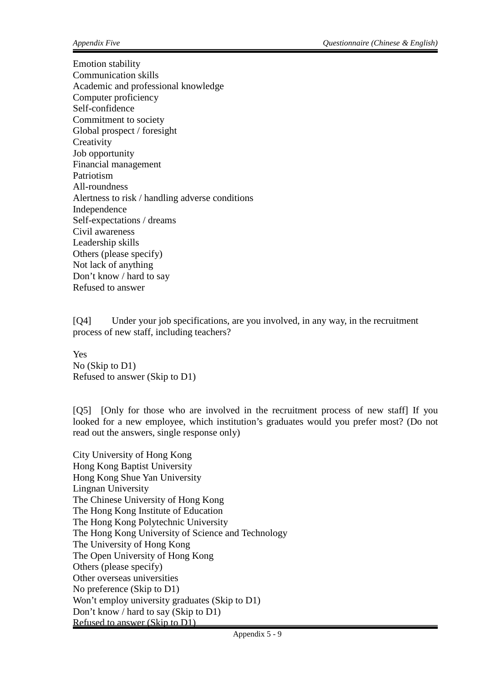Emotion stability Communication skills Academic and professional knowledge Computer proficiency Self-confidence Commitment to society Global prospect / foresight **Creativity** Job opportunity Financial management Patriotism All-roundness Alertness to risk / handling adverse conditions Independence Self-expectations / dreams Civil awareness Leadership skills Others (please specify) Not lack of anything Don't know / hard to say Refused to answer

[Q4] Under your job specifications, are you involved, in any way, in the recruitment process of new staff, including teachers?

Yes No (Skip to D1) Refused to answer (Skip to D1)

[Q5] [Only for those who are involved in the recruitment process of new staff] If you looked for a new employee, which institution's graduates would you prefer most? (Do not read out the answers, single response only)

City University of Hong Kong Hong Kong Baptist University Hong Kong Shue Yan University Lingnan University The Chinese University of Hong Kong The Hong Kong Institute of Education The Hong Kong Polytechnic University The Hong Kong University of Science and Technology The University of Hong Kong The Open University of Hong Kong Others (please specify) Other overseas universities No preference (Skip to D1) Won't employ university graduates (Skip to D1) Don't know / hard to say (Skip to D1) Refused to answer (Skip to D1)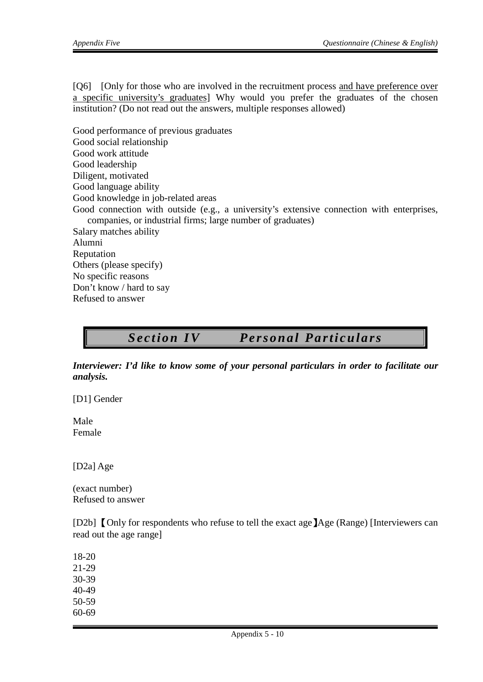[Q6] [Only for those who are involved in the recruitment process and have preference over a specific university's graduates] Why would you prefer the graduates of the chosen institution? (Do not read out the answers, multiple responses allowed)

Good performance of previous graduates Good social relationship Good work attitude Good leadership Diligent, motivated Good language ability Good knowledge in job-related areas Good connection with outside (e.g., a university's extensive connection with enterprises, companies, or industrial firms; large number of graduates) Salary matches ability Alumni Reputation Others (please specify) No specific reasons Don't know / hard to say Refused to answer

# *Section IV Personal Particulars*

*Interviewer: I'd like to know some of your personal particulars in order to facilitate our analysis.*

[D1] Gender

Male Female

[D2a] Age

(exact number) Refused to answer

[D2b] **[Only for respondents who refuse to tell the exact age ]**Age (Range) [Interviewers can read out the age range]

18-20 21-29 30-39 40-49 50-59 60-69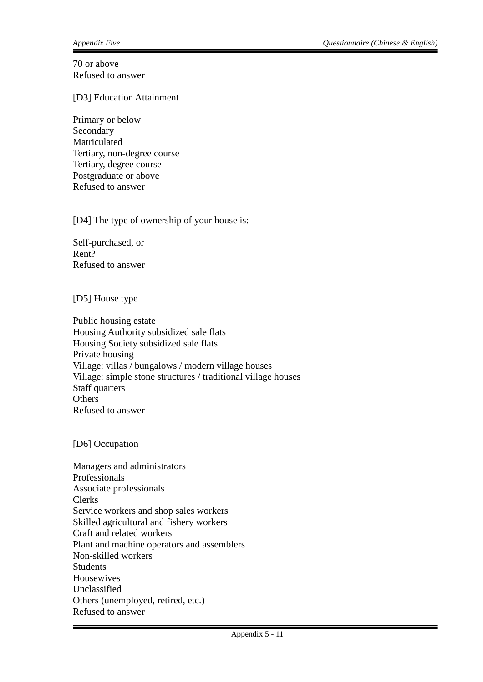70 or above Refused to answer

[D3] Education Attainment

Primary or below Secondary Matriculated Tertiary, non-degree course Tertiary, degree course Postgraduate or above Refused to answer

[D4] The type of ownership of your house is:

Self-purchased, or Rent? Refused to answer

[D5] House type

Public housing estate Housing Authority subsidized sale flats Housing Society subsidized sale flats Private housing Village: villas / bungalows / modern village houses Village: simple stone structures / traditional village houses Staff quarters **Others** Refused to answer

[D6] Occupation

Managers and administrators Professionals Associate professionals Clerks Service workers and shop sales workers Skilled agricultural and fishery workers Craft and related workers Plant and machine operators and assemblers Non-skilled workers **Students** Housewives Unclassified Others (unemployed, retired, etc.) Refused to answer